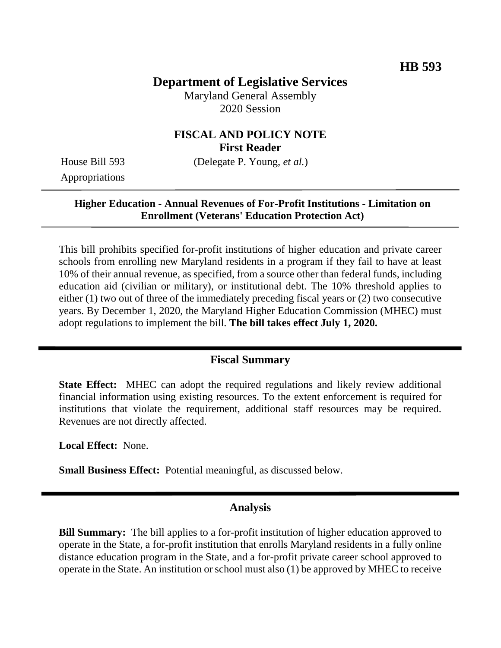# **Department of Legislative Services**

Maryland General Assembly 2020 Session

#### **FISCAL AND POLICY NOTE First Reader**

House Bill 593 (Delegate P. Young, *et al.*)

Appropriations

#### **Higher Education - Annual Revenues of For-Profit Institutions - Limitation on Enrollment (Veterans' Education Protection Act)**

This bill prohibits specified for-profit institutions of higher education and private career schools from enrolling new Maryland residents in a program if they fail to have at least 10% of their annual revenue, as specified, from a source other than federal funds, including education aid (civilian or military), or institutional debt. The 10% threshold applies to either (1) two out of three of the immediately preceding fiscal years or (2) two consecutive years. By December 1, 2020, the Maryland Higher Education Commission (MHEC) must adopt regulations to implement the bill. **The bill takes effect July 1, 2020.**

## **Fiscal Summary**

**State Effect:** MHEC can adopt the required regulations and likely review additional financial information using existing resources. To the extent enforcement is required for institutions that violate the requirement, additional staff resources may be required. Revenues are not directly affected.

**Local Effect:** None.

**Small Business Effect:** Potential meaningful, as discussed below.

## **Analysis**

**Bill Summary:** The bill applies to a for-profit institution of higher education approved to operate in the State, a for-profit institution that enrolls Maryland residents in a fully online distance education program in the State, and a for-profit private career school approved to operate in the State. An institution or school must also (1) be approved by MHEC to receive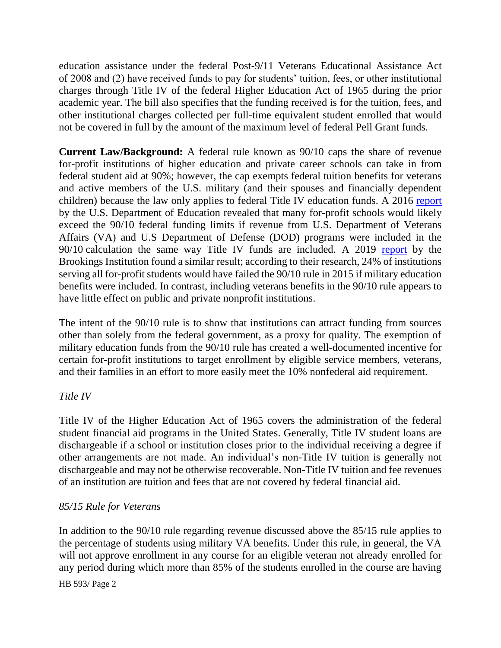education assistance under the federal Post-9/11 Veterans Educational Assistance Act of 2008 and (2) have received funds to pay for students' tuition, fees, or other institutional charges through Title IV of the federal Higher Education Act of 1965 during the prior academic year. The bill also specifies that the funding received is for the tuition, fees, and other institutional charges collected per full-time equivalent student enrolled that would not be covered in full by the amount of the maximum level of federal Pell Grant funds.

**Current Law/Background:** A federal rule known as 90/10 caps the share of revenue for-profit institutions of higher education and private career schools can take in from federal student aid at 90%; however, the cap exempts federal tuition benefits for veterans and active members of the U.S. military (and their spouses and financially dependent children) because the law only applies to federal Title IV education funds. A 2016 [report](https://www.ed.gov/news/press-releases/new-analysis-finds-many-profits-skirt-federal-funding-limits) by the U.S. Department of Education revealed that many for-profit schools would likely exceed the 90/10 federal funding limits if revenue from U.S. Department of Veterans Affairs (VA) and U.S Department of Defense (DOD) programs were included in the 90/10 calculation the same way Title IV funds are included. A 2019 [report](https://www.brookings.edu/wp-content/uploads/2019/01/ES_20190116_Looney-90-10.pdf) by the Brookings Institution found a similar result; according to their research, 24% of institutions serving all for-profit students would have failed the 90/10 rule in 2015 if military education benefits were included. In contrast, including veterans benefits in the 90/10 rule appears to have little effect on public and private nonprofit institutions.

The intent of the 90/10 rule is to show that institutions can attract funding from sources other than solely from the federal government, as a proxy for quality. The exemption of military education funds from the 90/10 rule has created a well-documented incentive for certain for-profit institutions to target enrollment by eligible service members, veterans, and their families in an effort to more easily meet the 10% nonfederal aid requirement.

## *Title IV*

Title IV of the Higher Education Act of 1965 covers the administration of the federal student financial aid programs in the United States. Generally, Title IV student loans are dischargeable if a school or institution closes prior to the individual receiving a degree if other arrangements are not made. An individual's non-Title IV tuition is generally not dischargeable and may not be otherwise recoverable. Non-Title IV tuition and fee revenues of an institution are tuition and fees that are not covered by federal financial aid.

## *85/15 Rule for Veterans*

In addition to the 90/10 rule regarding revenue discussed above the 85/15 rule applies to the percentage of students using military VA benefits. Under this rule, in general, the VA will not approve enrollment in any course for an eligible veteran not already enrolled for any period during which more than 85% of the students enrolled in the course are having

HB 593/ Page 2